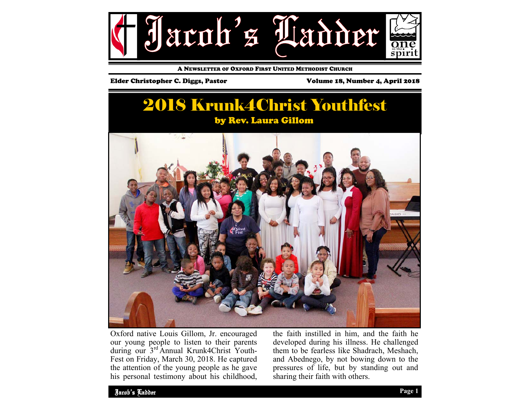

A NEWSLETTER OF OXFORD FIRST UNITED METHODIST CHURCH

#### Elder Christopher C. Diggs, Pastor Volume 18, Number 4, April 2018

# 2018 Krunk4Christ Youthfest by Rev. Laura Gillom



Oxford native Louis Gillom, Jr. encouraged our young people to listen to their parents during our 3rd Annual Krunk4Christ Youth-Fest on Friday, March 30, 2018. He captured the attention of the young people as he gave his personal testimony about his childhood, the faith instilled in him, and the faith he developed during his illness. He challenged them to be fearless like Shadrach, Meshach, and Abednego, by not bowing down to the pressures of life, but by standing out and sharing their faith with others.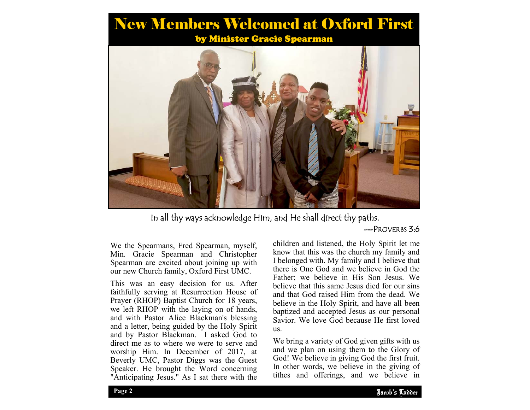# New Members Welcomed at Oxford First

by Minister Gracie Spearman



In all thy ways acknowledge Him, and He shall direct thy paths.

### —PROVERBS 3:6

We the Spearmans, Fred Spearman, myself, Min. Gracie Spearman and Christopher Spearman are excited about joining up with our new Church family, Oxford First UMC.

This was an easy decision for us. After faithfully serving at Resurrection House of Prayer (RHOP) Baptist Church for 18 years, we left RHOP with the laying on of hands, and with Pastor Alice Blackman's blessing and a letter, being guided by the Holy Spirit and by Pastor Blackman. I asked God to direct me as to where we were to serve and worship Him. In December of 2017, at Beverly UMC, Pastor Diggs was the Guest Speaker. He brought the Word concerning "Anticipating Jesus." As I sat there with the

children and listened, the Holy Spirit let me know that this was the church my family and I belonged with. My family and I believe that there is One God and we believe in God the Father; we believe in His Son Jesus. We believe that this same Jesus died for our sins and that God raised Him from the dead. We believe in the Holy Spirit, and have all been baptized and accepted Jesus as our personal Savior. We love God because He first loved us.

and we plan on asing them to the Glory of God! We believe in giving God the first fruit. We bring a variety of God given gifts with us and we plan on using them to the Glory of In other words, we believe in the giving of tithes and offerings, and we believe in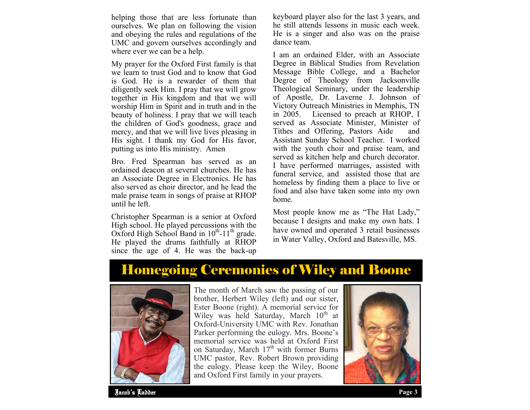helping those that are less fortunate than ourselves. We plan on following the vision and obeying the rules and regulations of the UMC and govern ourselves accordingly and where ever we can be a help.

My prayer for the Oxford First family is that we learn to trust God and to know that God is God. He is a rewarder of them that diligently seek Him. I pray that we will grow together in His kingdom and that we will worship Him in Spirit and in truth and in the beauty of holiness. I pray that we will teach the children of God's goodness, grace and mercy, and that we will live lives pleasing in His sight. I thank my God for His favor, putting us into His ministry. Amen

Bro. Fred Spearman has served as an ordained deacon at several churches. He has an Associate Degree in Electronics. He has also served as choir director, and he lead the male praise team in songs of praise at RHOP until he left.

Christopher Spearman is a senior at Oxford High school. He played percussions with the Oxford High School Band in  $10^{th}$ -11<sup>th</sup> grade. He played the drums faithfully at RHOP since the age of 4. He was the back-up

keyboard player also for the last 3 years, and he still attends lessons in music each week. He is a singer and also was on the praise dance team.

I am an ordained Elder, with an Associate Degree in Biblical Studies from Revelation Message Bible College, and a Bachelor Degree of Theology from Jacksonville Theological Seminary, under the leadership of Apostle, Dr. Laverne J. Johnson of Victory Outreach Ministries in Memphis, TN in 2005. Licensed to preach at RHOP, I served as Associate Minister, Minister of Tithes and Offering, Pastors Aide and Assistant Sunday School Teacher. I worked with the youth choir and praise team, and served as kitchen help and church decorator. I have performed marriages, assisted with funeral service, and assisted those that are homeless by finding them a place to live or food and also have taken some into my own home.

Most people know me as "The Hat Lady," because I designs and make my own hats. I have owned and operated 3 retail businesses in Water Valley, Oxford and Batesville, MS.

# Homegoing Ceremonies of Wiley and Boone



The month of March saw the passing of our brother, Herbert Wiley (left) and our sister, Ester Boone (right). A memorial service for Wiley was held Saturday, March  $10<sup>th</sup>$  at Oxford-University UMC with Rev. Jonathan Parker performing the eulogy. Mrs. Boone's memorial service was held at Oxford First on Saturday, March  $17<sup>th</sup>$  with former Burns UMC pastor, Rev. Robert Brown providing the eulogy. Please keep the Wiley, Boone and Oxford First family in your prayers.



Jacob's Ladder **Page 3**